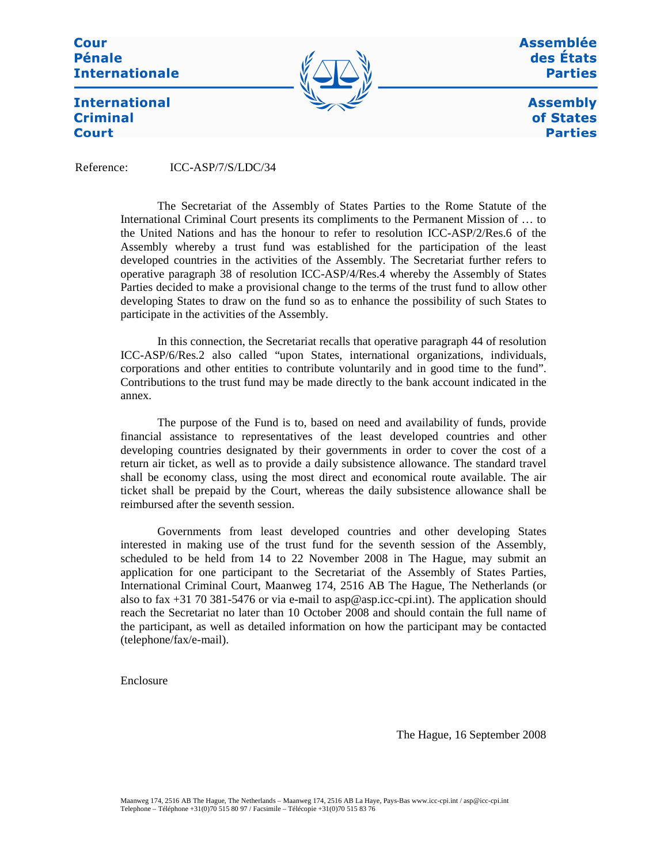**Cour Pénale Internationale** 



Assemblée des États **Parties** 

> **Assembly** of States **Parties**

**International Criminal Court** 

Reference: ICC-ASP/7/S/LDC/34

The Secretariat of the Assembly of States Parties to the Rome Statute of the International Criminal Court presents its compliments to the Permanent Mission of … to the United Nations and has the honour to refer to resolution ICC-ASP/2/Res.6 of the Assembly whereby a trust fund was established for the participation of the least developed countries in the activities of the Assembly. The Secretariat further refers to operative paragraph 38 of resolution ICC-ASP/4/Res.4 whereby the Assembly of States Parties decided to make a provisional change to the terms of the trust fund to allow other developing States to draw on the fund so as to enhance the possibility of such States to participate in the activities of the Assembly.

In this connection, the Secretariat recalls that operative paragraph 44 of resolution ICC-ASP/6/Res.2 also called "upon States, international organizations, individuals, corporations and other entities to contribute voluntarily and in good time to the fund". Contributions to the trust fund may be made directly to the bank account indicated in the annex.

The purpose of the Fund is to, based on need and availability of funds, provide financial assistance to representatives of the least developed countries and other developing countries designated by their governments in order to cover the cost of a return air ticket, as well as to provide a daily subsistence allowance. The standard travel shall be economy class, using the most direct and economical route available. The air ticket shall be prepaid by the Court, whereas the daily subsistence allowance shall be reimbursed after the seventh session.

Governments from least developed countries and other developing States interested in making use of the trust fund for the seventh session of the Assembly, scheduled to be held from 14 to 22 November 2008 in The Hague, may submit an application for one participant to the Secretariat of the Assembly of States Parties, International Criminal Court, Maanweg 174, 2516 AB The Hague, The Netherlands (or also to fax +31 70 381-5476 or via e-mail to asp@asp.icc-cpi.int). The application should reach the Secretariat no later than 10 October 2008 and should contain the full name of the participant, as well as detailed information on how the participant may be contacted (telephone/fax/e-mail).

Enclosure

The Hague, 16 September 2008